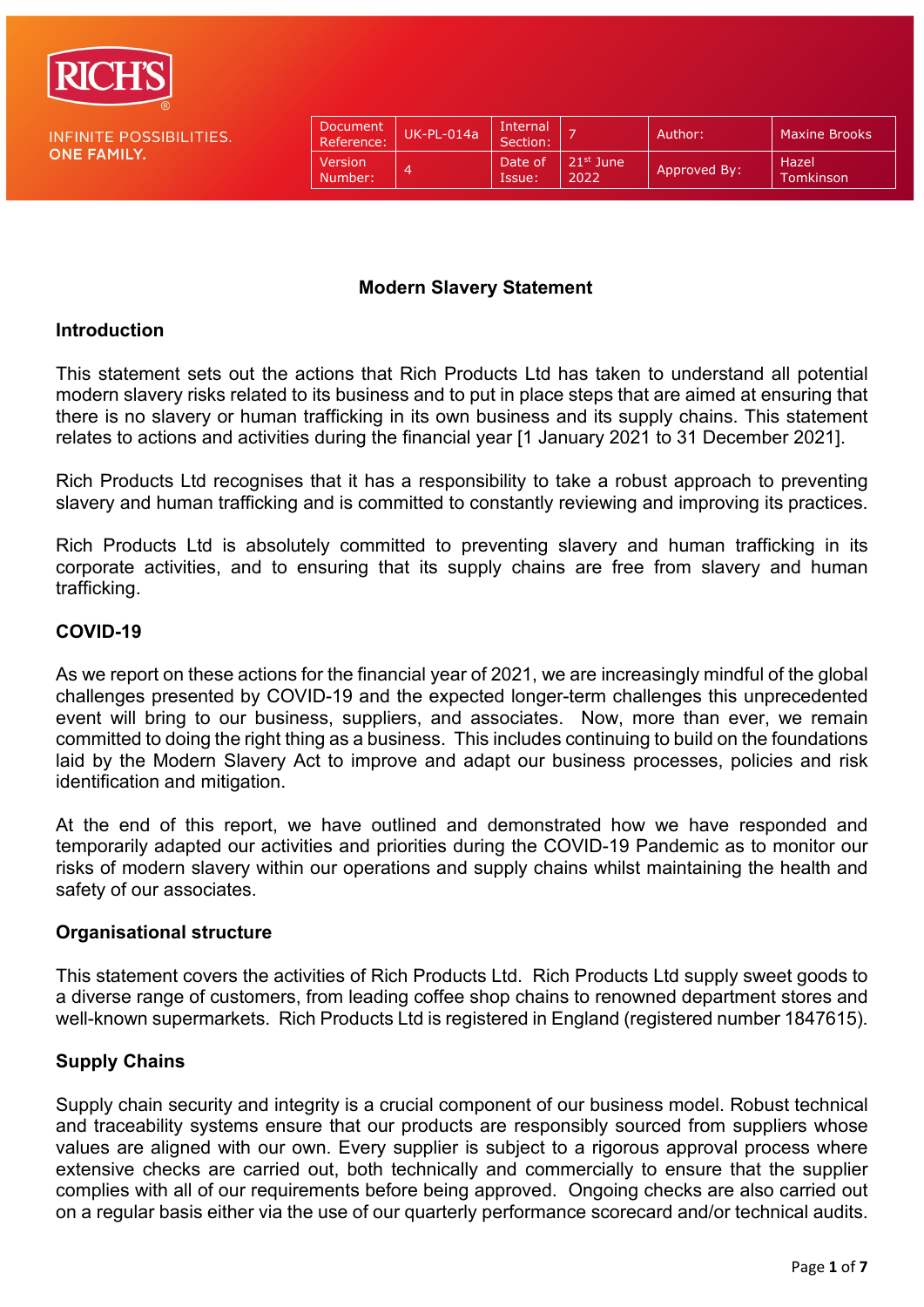

**ONE FAMILY.** 

**INFINITE POSSIBILITIES.** 

| Document<br>Reference:    | UK-PL-014a | Internal<br>Section: | -                             | Author:      | <b>Maxine Brooks</b>      |
|---------------------------|------------|----------------------|-------------------------------|--------------|---------------------------|
| <b>Version</b><br>Number: |            | Date of<br>Issue:    | 21 <sup>st</sup> June<br>2022 | Approved By: | Hazel<br><b>Tomkinson</b> |

#### **Modern Slavery Statement**

#### **Introduction**

This statement sets out the actions that Rich Products Ltd has taken to understand all potential modern slavery risks related to its business and to put in place steps that are aimed at ensuring that there is no slavery or human trafficking in its own business and its supply chains. This statement relates to actions and activities during the financial year [1 January 2021 to 31 December 2021].

Rich Products Ltd recognises that it has a responsibility to take a robust approach to preventing slavery and human trafficking and is committed to constantly reviewing and improving its practices.

Rich Products Ltd is absolutely committed to preventing slavery and human trafficking in its corporate activities, and to ensuring that its supply chains are free from slavery and human trafficking.

## **COVID-19**

As we report on these actions for the financial year of 2021, we are increasingly mindful of the global challenges presented by COVID-19 and the expected longer-term challenges this unprecedented event will bring to our business, suppliers, and associates. Now, more than ever, we remain committed to doing the right thing as a business. This includes continuing to build on the foundations laid by the Modern Slavery Act to improve and adapt our business processes, policies and risk identification and mitigation.

At the end of this report, we have outlined and demonstrated how we have responded and temporarily adapted our activities and priorities during the COVID-19 Pandemic as to monitor our risks of modern slavery within our operations and supply chains whilst maintaining the health and safety of our associates.

#### **Organisational structure**

This statement covers the activities of Rich Products Ltd. Rich Products Ltd supply sweet goods to a diverse range of customers, from leading coffee shop chains to renowned department stores and well-known supermarkets. Rich Products Ltd is registered in England (registered number 1847615).

## **Supply Chains**

Supply chain security and integrity is a crucial component of our business model. Robust technical and traceability systems ensure that our products are responsibly sourced from suppliers whose values are aligned with our own. Every supplier is subject to a rigorous approval process where extensive checks are carried out, both technically and commercially to ensure that the supplier complies with all of our requirements before being approved. Ongoing checks are also carried out on a regular basis either via the use of our quarterly performance scorecard and/or technical audits.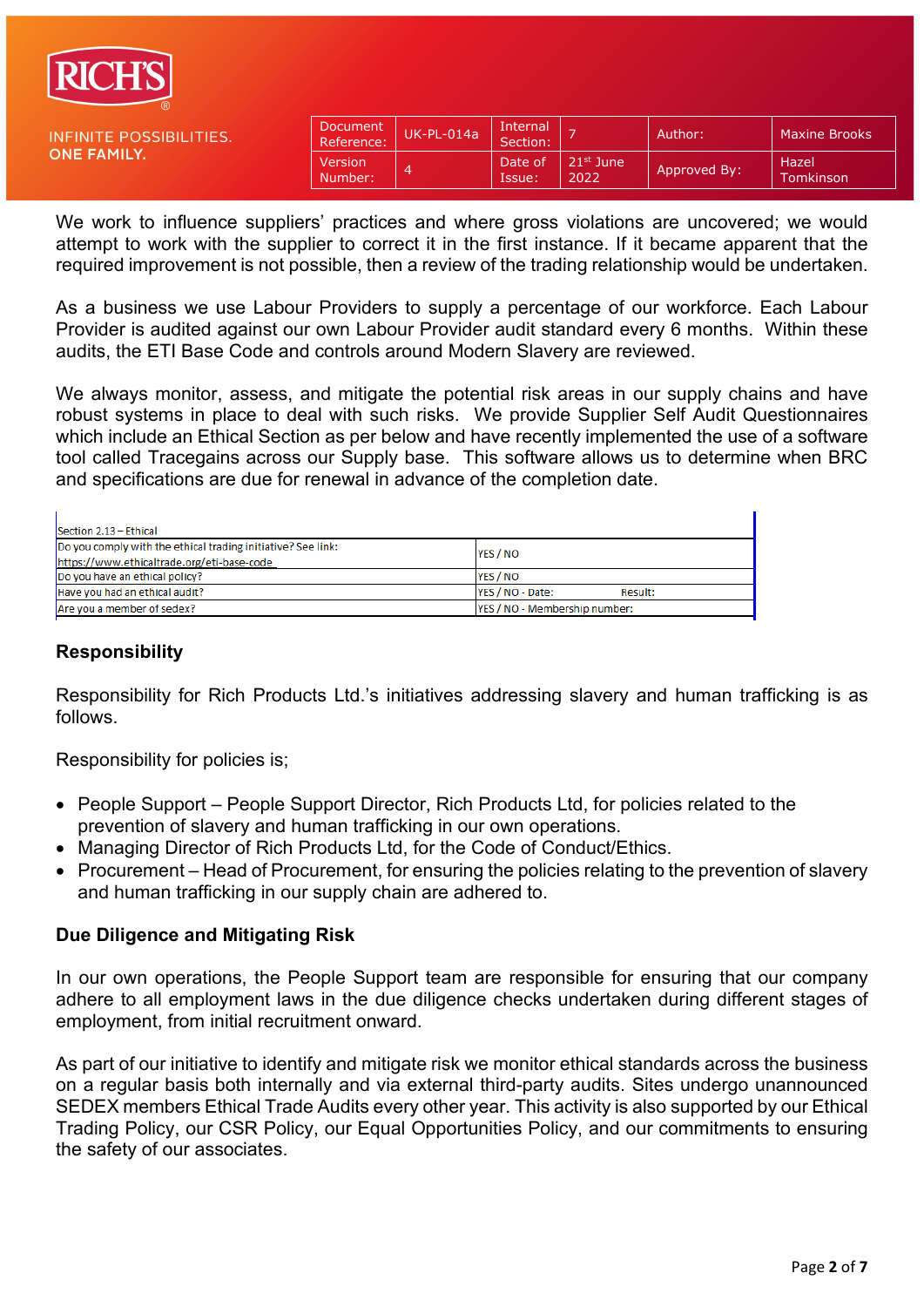

**ONE FAMILY.** 

**INFINITE POSSIBILITIES.** 

| Document<br>Reference: | $UK-PL-014a$ | Internal<br>Section: |                     | Author:      | <b>Maxine Brooks</b>      |
|------------------------|--------------|----------------------|---------------------|--------------|---------------------------|
| Version<br>Number:     | 4            | Date of<br>Issue:    | $21st$ June<br>2022 | Approved By: | Hazel<br><b>Tomkinson</b> |

We work to influence suppliers' practices and where gross violations are uncovered; we would attempt to work with the supplier to correct it in the first instance. If it became apparent that the required improvement is not possible, then a review of the trading relationship would be undertaken.

As a business we use Labour Providers to supply a percentage of our workforce. Each Labour Provider is audited against our own Labour Provider audit standard every 6 months. Within these audits, the ETI Base Code and controls around Modern Slavery are reviewed.

We always monitor, assess, and mitigate the potential risk areas in our supply chains and have robust systems in place to deal with such risks. We provide Supplier Self Audit Questionnaires which include an Ethical Section as per below and have recently implemented the use of a software tool called Tracegains across our Supply base. This software allows us to determine when BRC and specifications are due for renewal in advance of the completion date.

| Section 2.13 - Ethical                                                   |                             |  |  |  |  |  |
|--------------------------------------------------------------------------|-----------------------------|--|--|--|--|--|
| Do you comply with the ethical trading initiative? See link:<br>YES / NO |                             |  |  |  |  |  |
| https://www.ethicaltrade.org/eti-base-code                               |                             |  |  |  |  |  |
| Do you have an ethical policy?                                           | YES / NO                    |  |  |  |  |  |
| Have you had an ethical audit?                                           | YES / NO - Date:<br>Result: |  |  |  |  |  |
| YES / NO - Membership number:<br>Are you a member of sedex?              |                             |  |  |  |  |  |

#### **Responsibility**

Responsibility for Rich Products Ltd.'s initiatives addressing slavery and human trafficking is as follows.

Responsibility for policies is;

- People Support People Support Director, Rich Products Ltd, for policies related to the prevention of slavery and human trafficking in our own operations.
- Managing Director of Rich Products Ltd, for the Code of Conduct/Ethics.
- Procurement Head of Procurement, for ensuring the policies relating to the prevention of slavery and human trafficking in our supply chain are adhered to.

#### **Due Diligence and Mitigating Risk**

In our own operations, the People Support team are responsible for ensuring that our company adhere to all employment laws in the due diligence checks undertaken during different stages of employment, from initial recruitment onward.

As part of our initiative to identify and mitigate risk we monitor ethical standards across the business on a regular basis both internally and via external third-party audits. Sites undergo unannounced SEDEX members Ethical Trade Audits every other year. This activity is also supported by our Ethical Trading Policy, our CSR Policy, our Equal Opportunities Policy, and our commitments to ensuring the safety of our associates.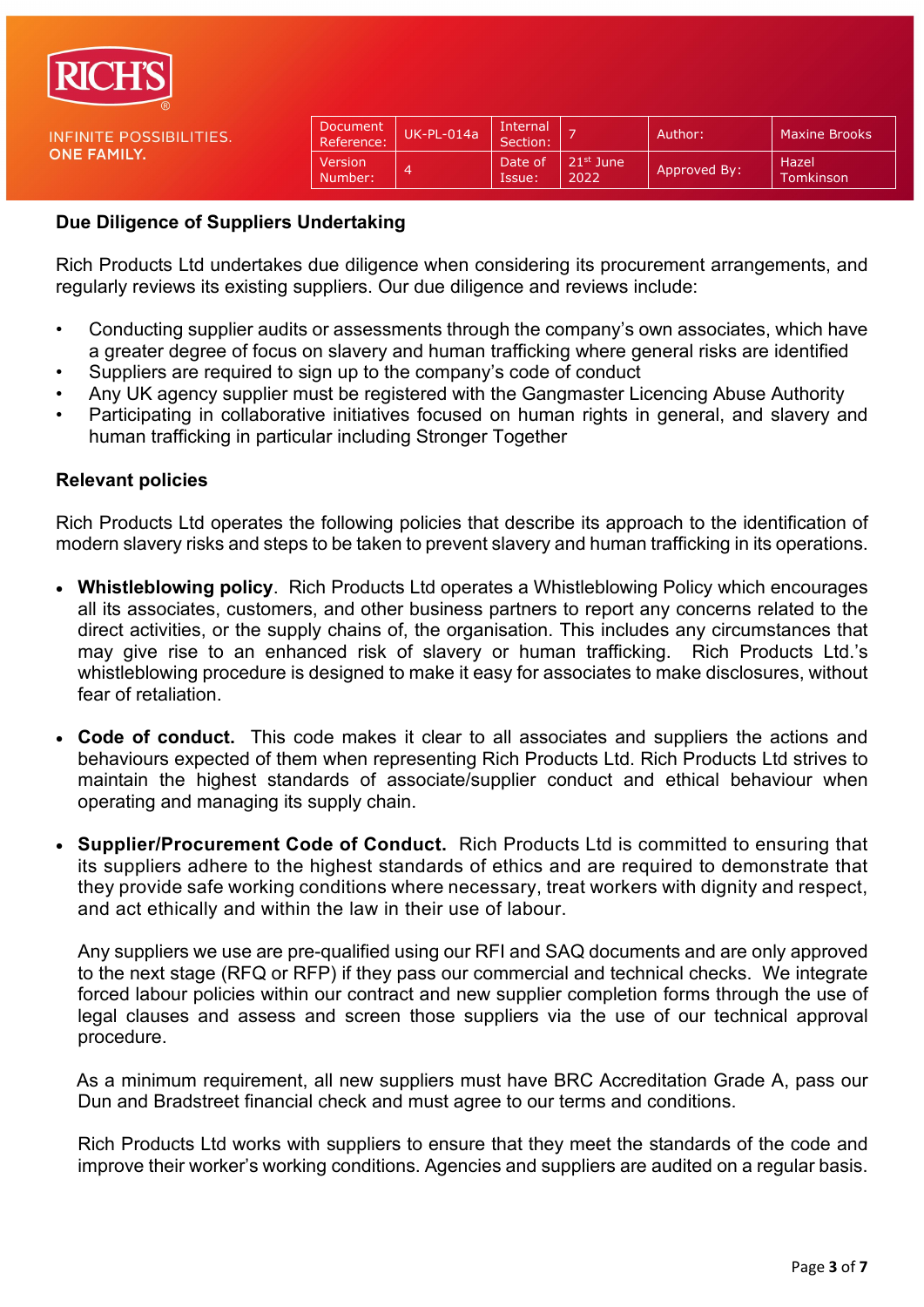

| Document<br>Reference:    | UK-PL-014a | Internal<br>Section: |                     | Author:      | <b>Maxine Brooks</b> |
|---------------------------|------------|----------------------|---------------------|--------------|----------------------|
| Version<br><b>Number:</b> | <b>اے</b>  | Date of<br>Issue:    | $21st$ June<br>2022 | Approved By: | Hazel<br>Tomkinson   |

#### **Due Diligence of Suppliers Undertaking**

Rich Products Ltd undertakes due diligence when considering its procurement arrangements, and regularly reviews its existing suppliers. Our due diligence and reviews include:

- Conducting supplier audits or assessments through the company's own associates, which have a greater degree of focus on slavery and human trafficking where general risks are identified
- Suppliers are required to sign up to the company's code of conduct
- Any UK agency supplier must be registered with the Gangmaster Licencing Abuse Authority
- Participating in collaborative initiatives focused on human rights in general, and slavery and human trafficking in particular including Stronger Together

#### **Relevant policies**

Rich Products Ltd operates the following policies that describe its approach to the identification of modern slavery risks and steps to be taken to prevent slavery and human trafficking in its operations.

- **Whistleblowing policy**. Rich Products Ltd operates a Whistleblowing Policy which encourages all its associates, customers, and other business partners to report any concerns related to the direct activities, or the supply chains of, the organisation. This includes any circumstances that may give rise to an enhanced risk of slavery or human trafficking. Rich Products Ltd.'s whistleblowing procedure is designed to make it easy for associates to make disclosures, without fear of retaliation.
- **Code of conduct.** This code makes it clear to all associates and suppliers the actions and behaviours expected of them when representing Rich Products Ltd. Rich Products Ltd strives to maintain the highest standards of associate/supplier conduct and ethical behaviour when operating and managing its supply chain.
- **Supplier/Procurement Code of Conduct.** Rich Products Ltd is committed to ensuring that its suppliers adhere to the highest standards of ethics and are required to demonstrate that they provide safe working conditions where necessary, treat workers with dignity and respect, and act ethically and within the law in their use of labour.

Any suppliers we use are pre-qualified using our RFI and SAQ documents and are only approved to the next stage (RFQ or RFP) if they pass our commercial and technical checks. We integrate forced labour policies within our contract and new supplier completion forms through the use of legal clauses and assess and screen those suppliers via the use of our technical approval procedure.

 As a minimum requirement, all new suppliers must have BRC Accreditation Grade A, pass our Dun and Bradstreet financial check and must agree to our terms and conditions.

Rich Products Ltd works with suppliers to ensure that they meet the standards of the code and improve their worker's working conditions. Agencies and suppliers are audited on a regular basis.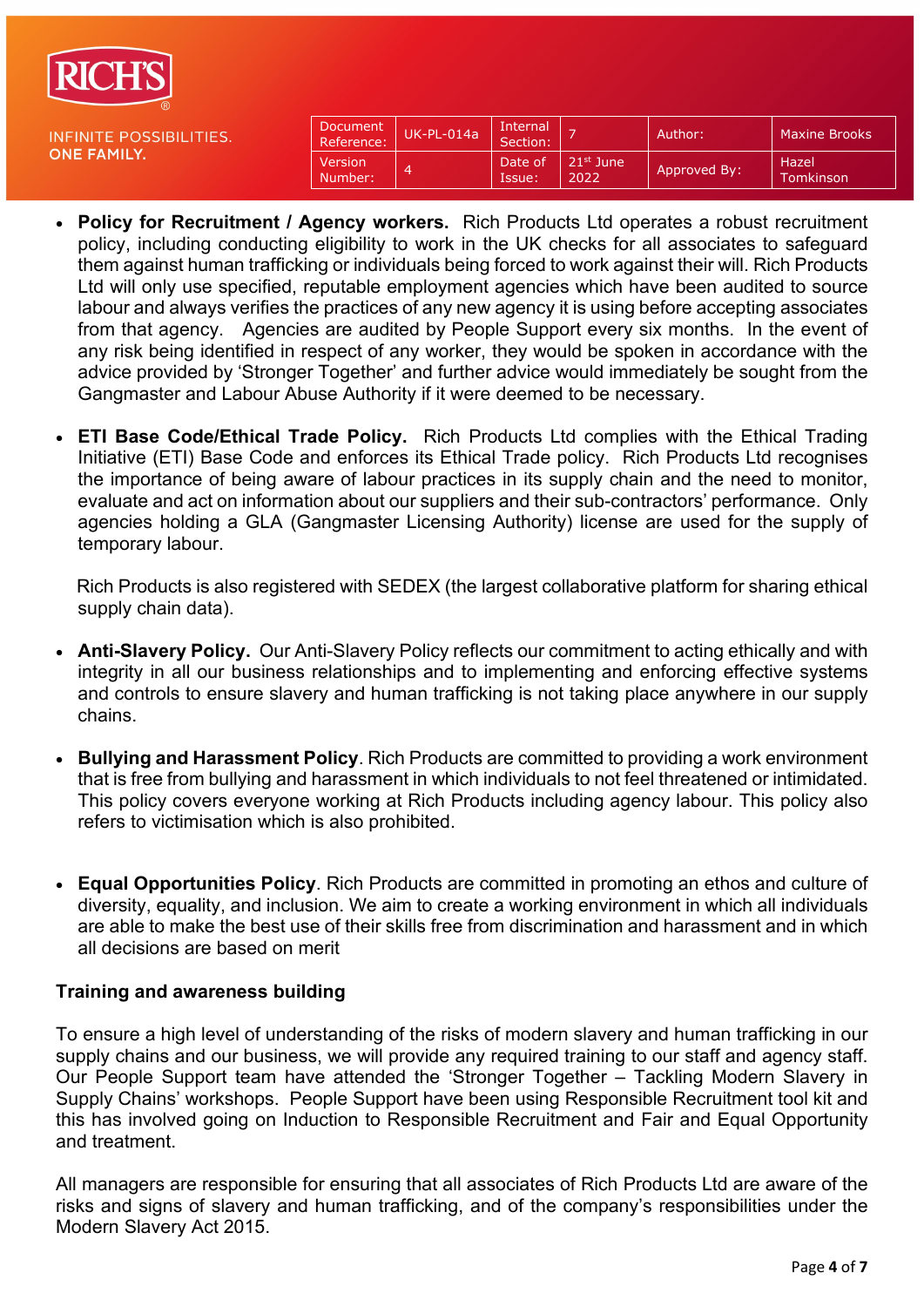

| Document<br>Reference:    | $UK-PL-014a$ | Internal<br>Section: |                     | Author:      | <b>Maxine Brooks</b> |
|---------------------------|--------------|----------------------|---------------------|--------------|----------------------|
| <b>Version</b><br>Number: | ⊿            | Date of<br>Issue:    | $21st$ June<br>2022 | Approved By: | Hazel<br>Tomkinson   |

- **Policy for Recruitment / Agency workers.** Rich Products Ltd operates a robust recruitment policy, including conducting eligibility to work in the UK checks for all associates to safeguard them against human trafficking or individuals being forced to work against their will. Rich Products Ltd will only use specified, reputable employment agencies which have been audited to source labour and always verifies the practices of any new agency it is using before accepting associates from that agency. Agencies are audited by People Support every six months. In the event of any risk being identified in respect of any worker, they would be spoken in accordance with the advice provided by 'Stronger Together' and further advice would immediately be sought from the Gangmaster and Labour Abuse Authority if it were deemed to be necessary.
- **ETI Base Code/Ethical Trade Policy.** Rich Products Ltd complies with the Ethical Trading Initiative (ETI) Base Code and enforces its Ethical Trade policy. Rich Products Ltd recognises the importance of being aware of labour practices in its supply chain and the need to monitor, evaluate and act on information about our suppliers and their sub-contractors' performance. Only agencies holding a GLA (Gangmaster Licensing Authority) license are used for the supply of temporary labour.

 Rich Products is also registered with SEDEX (the largest collaborative platform for sharing ethical supply chain data).

- **Anti-Slavery Policy.** Our Anti-Slavery Policy reflects our commitment to acting ethically and with integrity in all our business relationships and to implementing and enforcing effective systems and controls to ensure slavery and human trafficking is not taking place anywhere in our supply chains.
- **Bullying and Harassment Policy**. Rich Products are committed to providing a work environment that is free from bullying and harassment in which individuals to not feel threatened or intimidated. This policy covers everyone working at Rich Products including agency labour. This policy also refers to victimisation which is also prohibited.
- **Equal Opportunities Policy**. Rich Products are committed in promoting an ethos and culture of diversity, equality, and inclusion. We aim to create a working environment in which all individuals are able to make the best use of their skills free from discrimination and harassment and in which all decisions are based on merit

## **Training and awareness building**

To ensure a high level of understanding of the risks of modern slavery and human trafficking in our supply chains and our business, we will provide any required training to our staff and agency staff. Our People Support team have attended the 'Stronger Together – Tackling Modern Slavery in Supply Chains' workshops. People Support have been using Responsible Recruitment tool kit and this has involved going on Induction to Responsible Recruitment and Fair and Equal Opportunity and treatment.

All managers are responsible for ensuring that all associates of Rich Products Ltd are aware of the risks and signs of slavery and human trafficking, and of the company's responsibilities under the Modern Slavery Act 2015.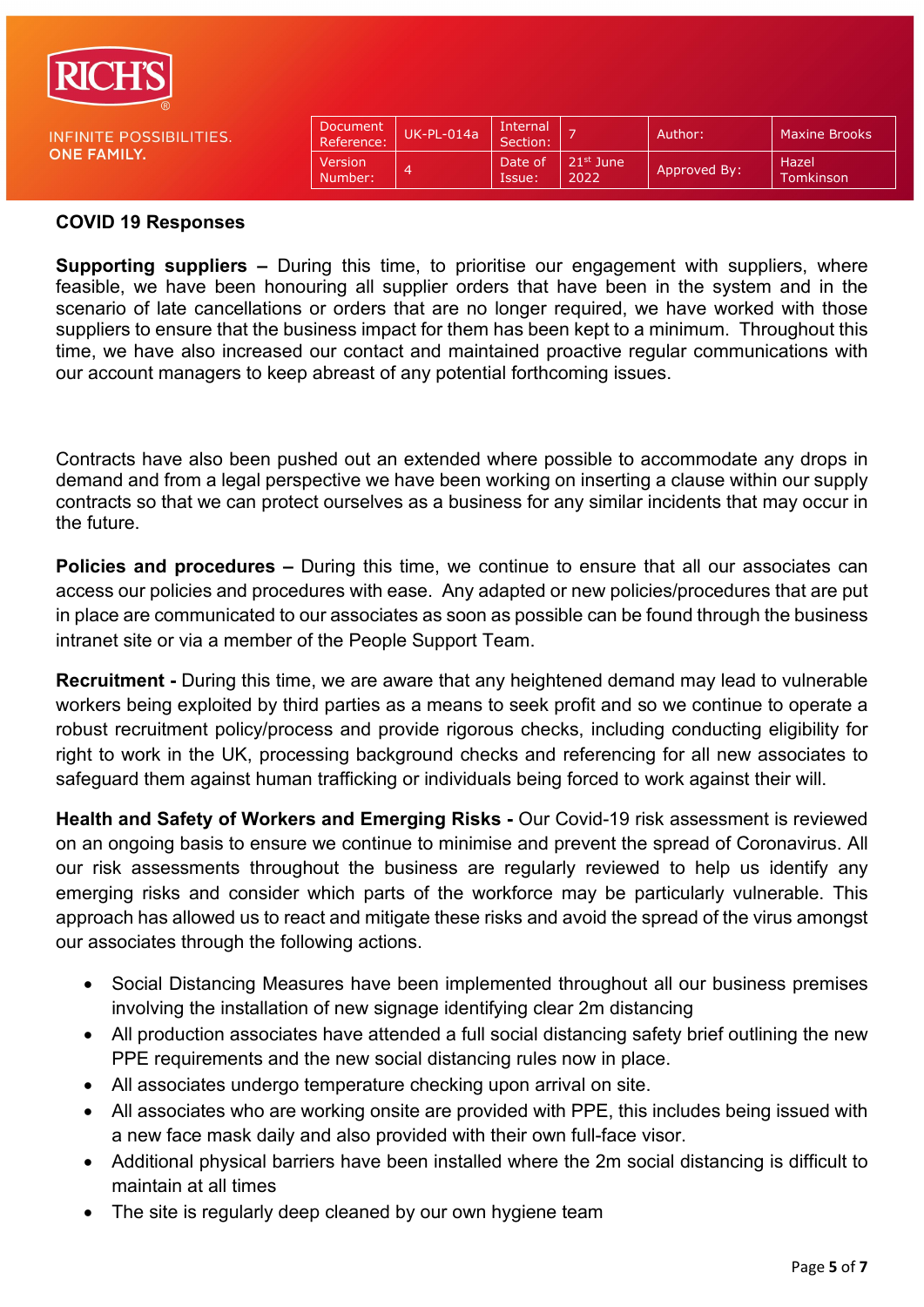

**INFINITE POS ONE FAMILY.** 

| SIBILITIES. | Document<br>Reference: | $UK-PL-014a$ | Internal<br>Section: |                               | Author:      | <b>Maxine Brooks</b> |
|-------------|------------------------|--------------|----------------------|-------------------------------|--------------|----------------------|
|             | Version<br>Number:     |              | Date of<br>Issue:    | 21 <sup>st</sup> June<br>2022 | Approved By: | Hazel<br>Tomkinson   |

#### **COVID 19 Responses**

**Supporting suppliers –** During this time, to prioritise our engagement with suppliers, where feasible, we have been honouring all supplier orders that have been in the system and in the scenario of late cancellations or orders that are no longer required, we have worked with those suppliers to ensure that the business impact for them has been kept to a minimum.Throughout this time, we have also increased our contact and maintained proactive regular communications with our account managers to keep abreast of any potential forthcoming issues.

Contracts have also been pushed out an extended where possible to accommodate any drops in demand and from a legal perspective we have been working on inserting a clause within our supply contracts so that we can protect ourselves as a business for any similar incidents that may occur in the future.

**Policies and procedures –** During this time, we continue to ensure that all our associates can access our policies and procedures with ease. Any adapted or new policies/procedures that are put in place are communicated to our associates as soon as possible can be found through the business intranet site or via a member of the People Support Team.

**Recruitment -** During this time, we are aware that any heightened demand may lead to vulnerable workers being exploited by third parties as a means to seek profit and so we continue to operate a robust recruitment policy/process and provide rigorous checks, including conducting eligibility for right to work in the UK, processing background checks and referencing for all new associates to safeguard them against human trafficking or individuals being forced to work against their will.

**Health and Safety of Workers and Emerging Risks -** Our Covid-19 risk assessment is reviewed on an ongoing basis to ensure we continue to minimise and prevent the spread of Coronavirus. All our risk assessments throughout the business are regularly reviewed to help us identify any emerging risks and consider which parts of the workforce may be particularly vulnerable. This approach has allowed us to react and mitigate these risks and avoid the spread of the virus amongst our associates through the following actions.

- Social Distancing Measures have been implemented throughout all our business premises involving the installation of new signage identifying clear 2m distancing
- All production associates have attended a full social distancing safety brief outlining the new PPE requirements and the new social distancing rules now in place.
- All associates undergo temperature checking upon arrival on site.
- All associates who are working onsite are provided with PPE, this includes being issued with a new face mask daily and also provided with their own full-face visor.
- Additional physical barriers have been installed where the 2m social distancing is difficult to maintain at all times
- The site is regularly deep cleaned by our own hygiene team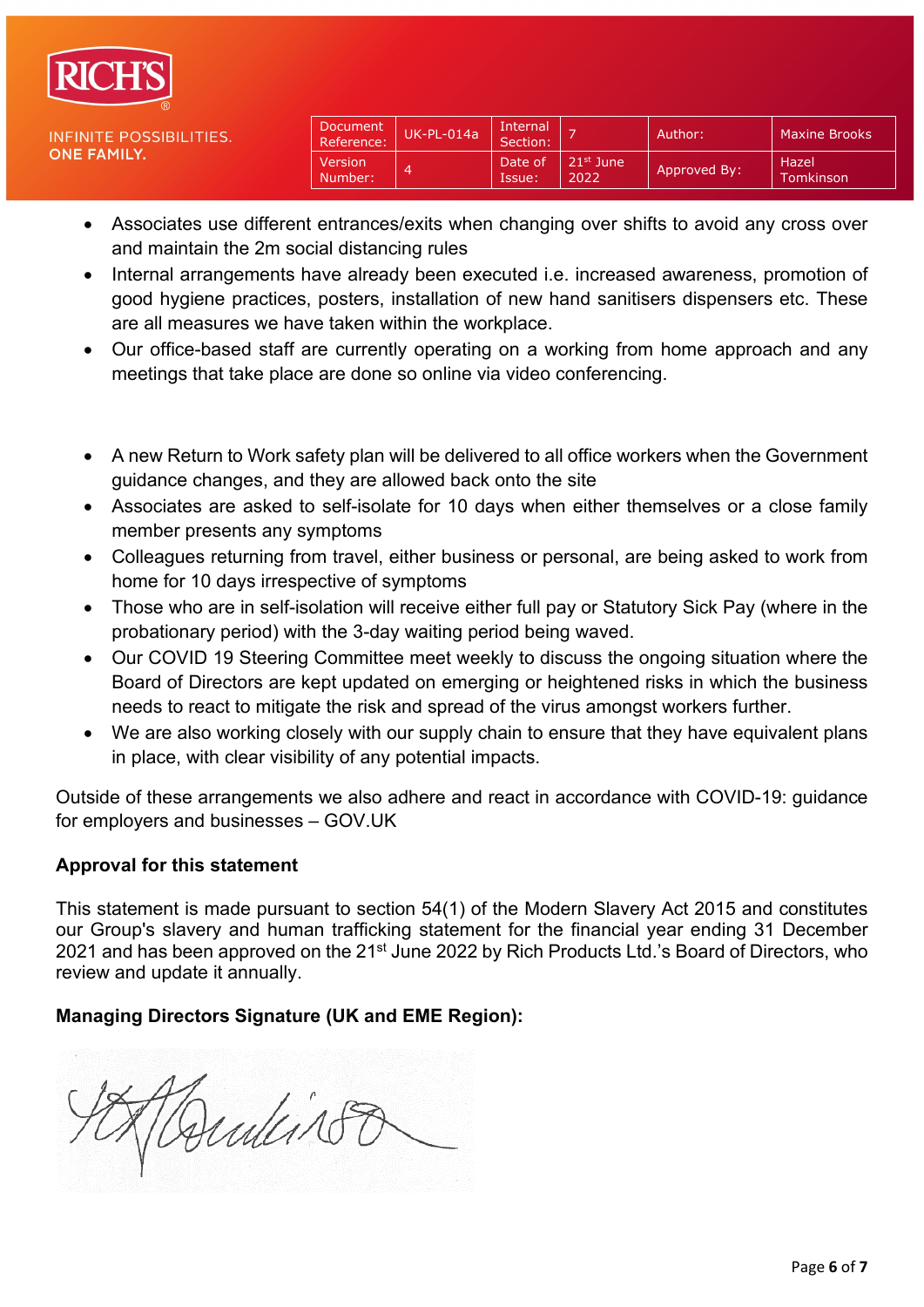

| Document<br>Reference: | $UK-PL-014a$ | Internal<br>Section: |                     | Author:      | <b>Maxine Brooks</b>  |
|------------------------|--------------|----------------------|---------------------|--------------|-----------------------|
| Version<br>Number:     | 4            | Date of<br>Issue:    | $21st$ June<br>2022 | Approved By: | . Hazel'<br>Tomkinson |

- Associates use different entrances/exits when changing over shifts to avoid any cross over and maintain the 2m social distancing rules
- Internal arrangements have already been executed i.e. increased awareness, promotion of good hygiene practices, posters, installation of new hand sanitisers dispensers etc. These are all measures we have taken within the workplace.
- Our office-based staff are currently operating on a working from home approach and any meetings that take place are done so online via video conferencing.
- A new Return to Work safety plan will be delivered to all office workers when the Government guidance changes, and they are allowed back onto the site
- Associates are asked to self-isolate for 10 days when either themselves or a close family member presents any symptoms
- Colleagues returning from travel, either business or personal, are being asked to work from home for 10 days irrespective of symptoms
- Those who are in self-isolation will receive either full pay or Statutory Sick Pay (where in the probationary period) with the 3-day waiting period being waved.
- Our COVID 19 Steering Committee meet weekly to discuss the ongoing situation where the Board of Directors are kept updated on emerging or heightened risks in which the business needs to react to mitigate the risk and spread of the virus amongst workers further.
- We are also working closely with our supply chain to ensure that they have equivalent plans in place, with clear visibility of any potential impacts.

Outside of these arrangements we also adhere and react in accordance with COVID-19: guidance for employers and businesses – GOV.UK

# **Approval for this statement**

This statement is made pursuant to section 54(1) of the Modern Slavery Act 2015 and constitutes our Group's slavery and human trafficking statement for the financial year ending 31 December 2021 and has been approved on the 21<sup>st</sup> June 2022 by Rich Products Ltd.'s Board of Directors, who review and update it annually.

# **Managing Directors Signature (UK and EME Region):**

Dentis 18